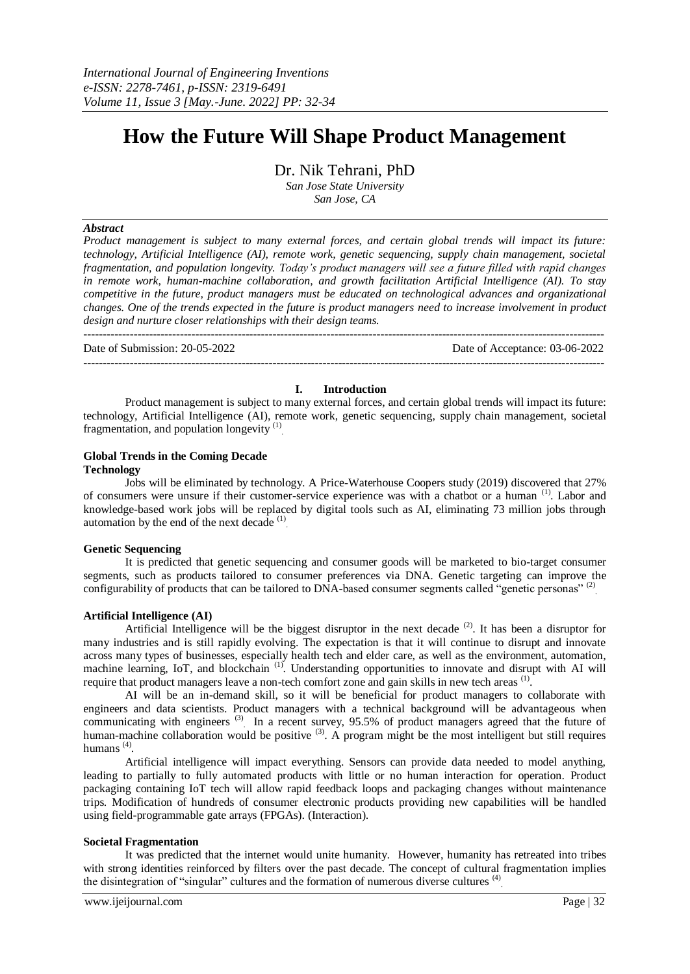---------------------------------------------------------------------------------------------------------------------------------------

# **How the Future Will Shape Product Management**

Dr. Nik Tehrani, PhD

*San Jose State University San Jose, CA*

#### *Abstract*

*Product management is subject to many external forces, and certain global trends will impact its future: technology, Artificial Intelligence (AI), remote work, genetic sequencing, supply chain management, societal fragmentation, and population longevity. Today's product managers will see a future filled with rapid changes in remote work, human-machine collaboration, and growth facilitation Artificial Intelligence (AI). To stay competitive in the future, product managers must be educated on technological advances and organizational changes. One of the trends expected in the future is product managers need to increase involvement in product design and nurture closer relationships with their design teams.* 

Date of Submission: 20-05-2022 Date of Acceptance: 03-06-2022

#### **I. Introduction**

---------------------------------------------------------------------------------------------------------------------------------------

Product management is subject to many external forces, and certain global trends will impact its future: technology, Artificial Intelligence (AI), remote work, genetic sequencing, supply chain management, societal fragmentation, and population longevity<sup>(1)</sup>

## **Global Trends in the Coming Decade**

#### **Technology**

Jobs will be eliminated by technology. A Price-Waterhouse Coopers study (2019) discovered that 27% of consumers were unsure if their customer-service experience was with a chatbot or a human <sup>(1)</sup>. Labor and knowledge-based work jobs will be replaced by digital tools such as AI, eliminating 73 million jobs through automation by the end of the next decade<sup>(1)</sup>.

## **Genetic Sequencing**

It is predicted that genetic sequencing and consumer goods will be marketed to bio-target consumer segments, such as products tailored to consumer preferences via DNA. Genetic targeting can improve the configurability of products that can be tailored to DNA-based consumer segments called "genetic personas"<sup>(2)</sup>

## **Artificial Intelligence (AI)**

Artificial Intelligence will be the biggest disruptor in the next decade  $(2)$ . It has been a disruptor for many industries and is still rapidly evolving. The expectation is that it will continue to disrupt and innovate across many types of businesses, especially health tech and elder care, as well as the environment, automation, machine learning, IoT, and blockchain<sup>(1)</sup>. Understanding opportunities to innovate and disrupt with AI will require that product managers leave a non-tech comfort zone and gain skills in new tech areas<sup>(1)</sup>.

AI will be an in-demand skill, so it will be beneficial for product managers to collaborate with engineers and data scientists. Product managers with a technical background will be advantageous when communicating with engineers<sup>(3)</sup> In a recent survey, 95.5% of product managers agreed that the future of human-machine collaboration would be positive  $(3)$ . A program might be the most intelligent but still requires humans<sup>(4)</sup>.

Artificial intelligence will impact everything. Sensors can provide data needed to model anything, leading to partially to fully automated products with little or no human interaction for operation. Product packaging containing IoT tech will allow rapid feedback loops and packaging changes without maintenance trips. Modification of hundreds of consumer electronic products providing new capabilities will be handled using field-programmable gate arrays (FPGAs). (Interaction).

#### **Societal Fragmentation**

It was predicted that the internet would unite humanity. However, humanity has retreated into tribes with strong identities reinforced by filters over the past decade. The concept of cultural fragmentation implies the disintegration of "singular" cultures and the formation of numerous diverse cultures<sup>(4)</sup>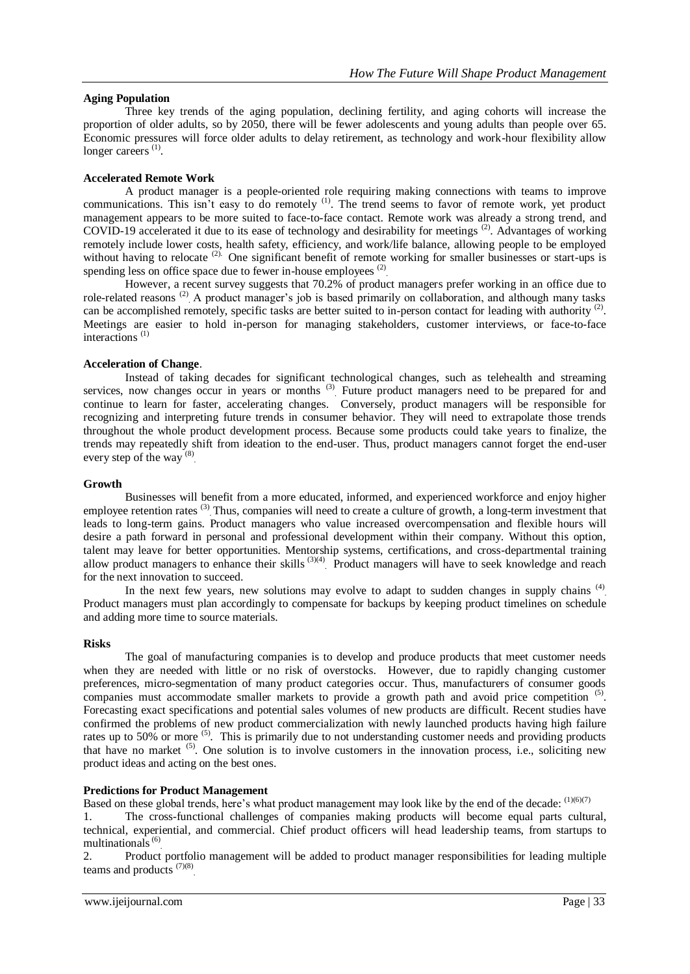## **Aging Population**

Three key trends of the aging population, declining fertility, and aging cohorts will increase the proportion of older adults, so by 2050, there will be fewer adolescents and young adults than people over 65. Economic pressures will force older adults to delay retirement, as technology and work-hour flexibility allow longer careers<sup>(1)</sup>.

## **Accelerated Remote Work**

A product manager is a people-oriented role requiring making connections with teams to improve communications. This isn't easy to do remotely <sup>(1)</sup>. The trend seems to favor of remote work, yet product management appears to be more suited to face-to-face contact. Remote work was already a strong trend, and COVID-19 accelerated it due to its ease of technology and desirability for meetings (2). Advantages of working remotely include lower costs, health safety, efficiency, and work/life balance, allowing people to be employed without having to relocate  $(2)$ . One significant benefit of remote working for smaller businesses or start-ups is spending less on office space due to fewer in-house employees<sup>(2)</sup>

However, a recent survey suggests that 70.2% of product managers prefer working in an office due to role-related reasons<sup>(2)</sup> A product manager's job is based primarily on collaboration, and although many tasks can be accomplished remotely, specific tasks are better suited to in-person contact for leading with authority <sup>(2)</sup>. Meetings are easier to hold in-person for managing stakeholders, customer interviews, or face-to-face interactions (1)

## **Acceleration of Change**.

Instead of taking decades for significant technological changes, such as telehealth and streaming services, now changes occur in years or months<sup>(3)</sup> Future product managers need to be prepared for and continue to learn for faster, accelerating changes. Conversely, product managers will be responsible for recognizing and interpreting future trends in consumer behavior. They will need to extrapolate those trends throughout the whole product development process. Because some products could take years to finalize, the trends may repeatedly shift from ideation to the end-user. Thus, product managers cannot forget the end-user every step of the way<sup>(8)</sup>

#### **Growth**

Businesses will benefit from a more educated, informed, and experienced workforce and enjoy higher employee retention rates<sup>(3)</sup> Thus, companies will need to create a culture of growth, a long-term investment that leads to long-term gains. Product managers who value increased overcompensation and flexible hours will desire a path forward in personal and professional development within their company. Without this option, talent may leave for better opportunities. Mentorship systems, certifications, and cross-departmental training allow product managers to enhance their skills  $(3)(4)$  Product managers will have to seek knowledge and reach for the next innovation to succeed.

In the next few years, new solutions may evolve to adapt to sudden changes in supply chains <sup>(4)</sup>. Product managers must plan accordingly to compensate for backups by keeping product timelines on schedule and adding more time to source materials.

#### **Risks**

The goal of manufacturing companies is to develop and produce products that meet customer needs when they are needed with little or no risk of overstocks. However, due to rapidly changing customer preferences, micro-segmentation of many product categories occur. Thus, manufacturers of consumer goods companies must accommodate smaller markets to provide a growth path and avoid price competition <sup>(5)</sup>. Forecasting exact specifications and potential sales volumes of new products are difficult. Recent studies have confirmed the problems of new product commercialization with newly launched products having high failure rates up to 50% or more <sup>(5)</sup>. This is primarily due to not understanding customer needs and providing products that have no market <sup>(5)</sup>. One solution is to involve customers in the innovation process, i.e., soliciting new product ideas and acting on the best ones.

## **Predictions for Product Management**

Based on these global trends, here's what product management may look like by the end of the decade: (1)(6)(7)

1. The cross-functional challenges of companies making products will become equal parts cultural, technical, experiential, and commercial. Chief product officers will head leadership teams, from startups to multinationals<sup>(6)</sup>

2. Product portfolio management will be added to product manager responsibilities for leading multiple teams and products  $^{(7)(8)}$